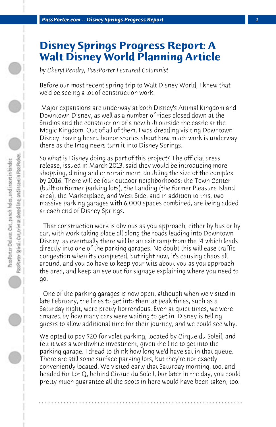## **Disney Springs Progress Report: A Walt Disney World Planning Article**

*by Cheryl Pendry, PassPorter Featured Columnist*

Before our most recent spring trip to Walt Disney World, I knew that we'd be seeing a lot of construction work.

 Major expansions are underway at both Disney's Animal Kingdom and Downtown Disney, as well as a number of rides closed down at the Studios and the construction of a new hub outside the castle at the Magic Kingdom. Out of all of them, I was dreading visiting Downtown Disney, having heard horror stories about how much work is underway there as the Imagineers turn it into Disney Springs.

So what is Disney doing as part of this project? The official press release, issued in March 2013, said they would be introducing more shopping, dining and entertainment, doubling the size of the complex by 2016. There will be four outdoor neighborhoods; the Town Center (built on former parking lots), the Landing (the former Pleasure Island area), the Marketplace, and West Side, and in addition to this, two massive parking garages with 6,000 spaces combined, are being added at each end of Disney Springs.

 That construction work is obvious as you approach, either by bus or by car, with work taking place all along the roads leading into Downtown Disney, as eventually there will be an exit ramp from the I4 which leads directly into one of the parking garages. No doubt this will ease traffic congestion when it's completed, but right now, it's causing chaos all around, and you do have to keep your wits about you as you approach the area, and keep an eye out for signage explaining where you need to go.

 One of the parking garages is now open, although when we visited in late February, the lines to get into them at peak times, such as a Saturday night, were pretty horrendous. Even at quiet times, we were amazed by how many cars were waiting to get in. Disney is telling guests to allow additional time for their journey, and we could see why.

We opted to pay \$20 for valet parking, located by Cirque du Soleil, and felt it was a worthwhile investment, given the line to get into the parking garage. I dread to think how long we'd have sat in that queue. There are still some surface parking lots, but they're not exactly conveniently located. We visited early that Saturday morning, too, and headed for Lot Q, behind Cirque du Soleil, but later in the day, you could pretty much guarantee all the spots in here would have been taken, too.

**. . . . . . . . . . . . . . . . . . . . . . . . . . . . . . . . . . . . . . . . . . . . . . . . . . . . . . . . . . . . . . . . . .**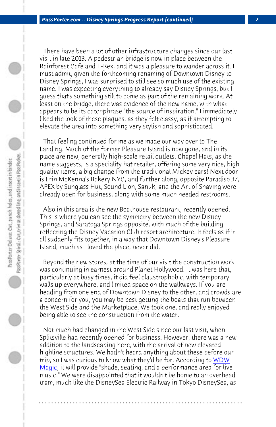*PassPorter.com -- Disney Springs Progress Report (continued) 2*

 There have been a lot of other infrastructure changes since our last visit in late 2013. A pedestrian bridge is now in place between the Rainforest Cafe and T-Rex, and it was a pleasure to wander across it. I must admit, given the forthcoming renaming of Downtown Disney to Disney Springs, I was surprised to still see so much use of the existing name. I was expecting everything to already say Disney Springs, but I guess that's something still to come as part of the remaining work. At least on the bridge, there was evidence of the new name, with what appears to be its catchphrase "the source of inspiration." I immediately liked the look of these plaques, as they felt classy, as if attempting to elevate the area into something very stylish and sophisticated.

 That feeling continued for me as we made our way over to The Landing. Much of the former Pleasure Island is now gone, and in its place are new, generally high-scale retail outlets. Chapel Hats, as the name suggests, is a speciality hat retailer, offering some very nice, high quality items, a big change from the traditional Mickey ears! Next door is Erin McKenna's Bakery NYC, and further along, opposite Paradiso 37, APEX by Sunglass Hut, Sound Lion, Sanuk, and the Art of Shaving were already open for business, along with some much needed restrooms.

 Also in this area is the new Boathouse restaurant, recently opened. This is where you can see the symmetry between the new Disney Springs, and Saratoga Springs opposite, with much of the building reflecting the Disney Vacation Club resort architecture. It fee[ls as if](http://www.wdwmagic.com/attractions/disney-springs/news/27mar2015-photos---the-third-highline-elevated-structure-at-disney-springs-west-side-nears-completion.htm) it [all sud](http://www.wdwmagic.com/attractions/disney-springs/news/27mar2015-photos---the-third-highline-elevated-structure-at-disney-springs-west-side-nears-completion.htm)denly fits together, in a way that Downtown Disney's Pleasure Island, much as I loved the place, never did.

 Beyond the new stores, at the time of our visit the construction work was continuing in earnest around Planet Hollywood. It was here that, particularly at busy times, it did feel claustrophobic, with temporary walls up everywhere, and limited space on the walkways. If you are heading from one end of Downtown Disney to the other, and crowds are a concern for you, you may be best getting the boats that run between the West Side and the Marketplace. We took one, and really enjoyed being able to see the construction from the water.

 Not much had changed in the West Side since our last visit, when Splitsville had recently opened for business. However, there was a new addition to the landscaping here, with the arrival of new elevated highline structures. We hadn't heard anything about these before our trip, so I was curious to know what they'd be for. According to WDW Magic, it will provide "shade, seating, and a performance area for live music." We were disappointed that it wouldn't be home to an overhead tram, much like the DisneySea Electric Railway in Tokyo DisneySea, as

**. . . . . . . . . . . . . . . . . . . . . . . . . . . . . . . . . . . . . . . . . . . . . . . . . . . . . . . . . . . . . . . . . .**